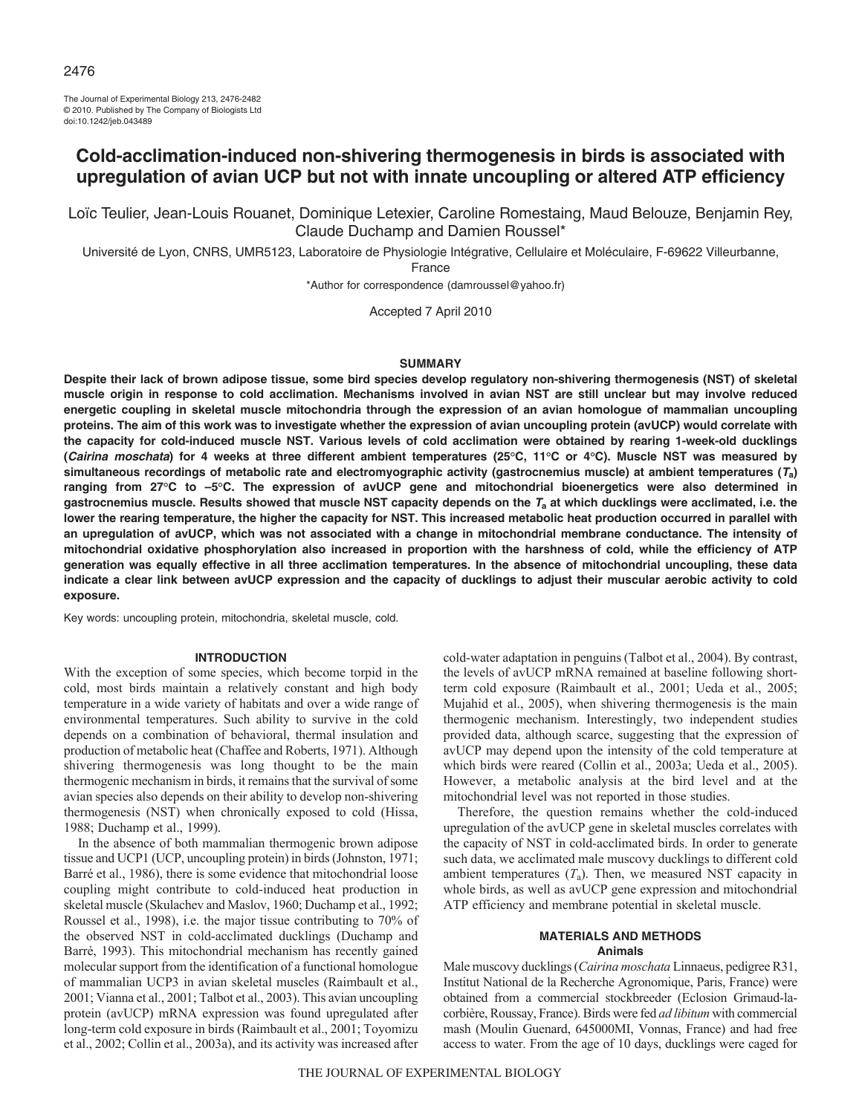The Journal of Experimental Biology 213, 2476-2482 © 2010. Published by The Company of Biologists Ltd doi:10.1242/jeb.043489

# **Cold-acclimation-induced non-shivering thermogenesis in birds is associated with upregulation of avian UCP but not with innate uncoupling or altered ATP efficiency**

Loïc Teulier, Jean-Louis Rouanet, Dominique Letexier, Caroline Romestaing, Maud Belouze, Benjamin Rey, Claude Duchamp and Damien Roussel\*

Université de Lyon, CNRS, UMR5123, Laboratoire de Physiologie Intégrative, Cellulaire et Moléculaire, F-69622 Villeurbanne,

France

\*Author for correspondence (damroussel@yahoo.fr)

Accepted 7 April 2010

### **SUMMARY**

**Despite their lack of brown adipose tissue, some bird species develop regulatory non-shivering thermogenesis (NST) of skeletal muscle origin in response to cold acclimation. Mechanisms involved in avian NST are still unclear but may involve reduced energetic coupling in skeletal muscle mitochondria through the expression of an avian homologue of mammalian uncoupling proteins. The aim of this work was to investigate whether the expression of avian uncoupling protein (avUCP) would correlate with the capacity for cold-induced muscle NST. Various levels of cold acclimation were obtained by rearing 1-week-old ducklings (Cairina moschata) for 4 weeks at three different ambient temperatures (25°C, 11°C or 4°C). Muscle NST was measured by simultaneous recordings of metabolic rate and electromyographic activity (gastrocnemius muscle) at ambient temperatures (Ta) ranging from 27°C to –5°C. The expression of avUCP gene and mitochondrial bioenergetics were also determined in gastrocnemius muscle. Results showed that muscle NST capacity depends on the T<sup>a</sup> at which ducklings were acclimated, i.e. the lower the rearing temperature, the higher the capacity for NST. This increased metabolic heat production occurred in parallel with an upregulation of avUCP, which was not associated with a change in mitochondrial membrane conductance. The intensity of mitochondrial oxidative phosphorylation also increased in proportion with the harshness of cold, while the efficiency of ATP generation was equally effective in all three acclimation temperatures. In the absence of mitochondrial uncoupling, these data indicate a clear link between avUCP expression and the capacity of ducklings to adjust their muscular aerobic activity to cold exposure.**

Key words: uncoupling protein, mitochondria, skeletal muscle, cold.

#### **INTRODUCTION**

With the exception of some species, which become torpid in the cold, most birds maintain a relatively constant and high body temperature in a wide variety of habitats and over a wide range of environmental temperatures. Such ability to survive in the cold depends on a combination of behavioral, thermal insulation and production of metabolic heat (Chaffee and Roberts, 1971). Although shivering thermogenesis was long thought to be the main thermogenic mechanism in birds, it remains that the survival of some avian species also depends on their ability to develop non-shivering thermogenesis (NST) when chronically exposed to cold (Hissa, 1988; Duchamp et al., 1999).

In the absence of both mammalian thermogenic brown adipose tissue and UCP1 (UCP, uncoupling protein) in birds (Johnston, 1971; Barré et al., 1986), there is some evidence that mitochondrial loose coupling might contribute to cold-induced heat production in skeletal muscle (Skulachev and Maslov, 1960; Duchamp et al., 1992; Roussel et al., 1998), i.e. the major tissue contributing to 70% of the observed NST in cold-acclimated ducklings (Duchamp and Barré, 1993). This mitochondrial mechanism has recently gained molecular support from the identification of a functional homologue of mammalian UCP3 in avian skeletal muscles (Raimbault et al., 2001; Vianna et al., 2001; Talbot et al., 2003). This avian uncoupling protein (avUCP) mRNA expression was found upregulated after long-term cold exposure in birds (Raimbault et al., 2001; Toyomizu et al., 2002; Collin et al., 2003a), and its activity was increased after

cold-water adaptation in penguins (Talbot et al., 2004). By contrast, the levels of avUCP mRNA remained at baseline following shortterm cold exposure (Raimbault et al., 2001; Ueda et al., 2005; Mujahid et al., 2005), when shivering thermogenesis is the main thermogenic mechanism. Interestingly, two independent studies provided data, although scarce, suggesting that the expression of avUCP may depend upon the intensity of the cold temperature at which birds were reared (Collin et al., 2003a; Ueda et al., 2005). However, a metabolic analysis at the bird level and at the mitochondrial level was not reported in those studies.

Therefore, the question remains whether the cold-induced upregulation of the avUCP gene in skeletal muscles correlates with the capacity of NST in cold-acclimated birds. In order to generate such data, we acclimated male muscovy ducklings to different cold ambient temperatures  $(T_a)$ . Then, we measured NST capacity in whole birds, as well as avUCP gene expression and mitochondrial ATP efficiency and membrane potential in skeletal muscle.

### **MATERIALS AND METHODS Animals**

Male muscovy ducklings (*Cairina moschata* Linnaeus, pedigree R31, Institut National de la Recherche Agronomique, Paris, France) were obtained from a commercial stockbreeder (Eclosion Grimaud-lacorbière, Roussay, France). Birds were fed *ad libitum* with commercial mash (Moulin Guenard, 645000MI, Vonnas, France) and had free access to water. From the age of 10 days, ducklings were caged for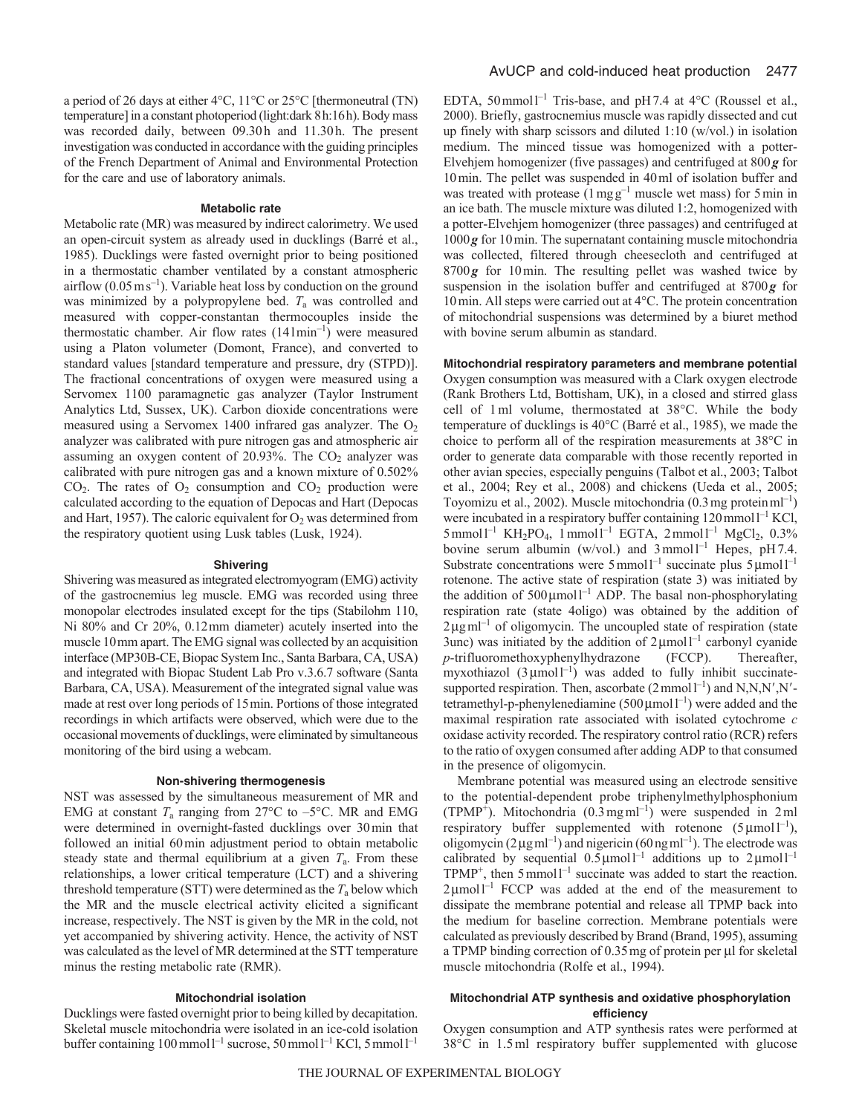a period of 26 days at either 4°C, 11°C or 25°C [thermoneutral (TN) temperature] in a constant photoperiod (light:dark 8h:16h). Body mass was recorded daily, between 09.30h and 11.30h. The present investigation was conducted in accordance with the guiding principles of the French Department of Animal and Environmental Protection for the care and use of laboratory animals.

## **Metabolic rate**

Metabolic rate (MR) was measured by indirect calorimetry. We used an open-circuit system as already used in ducklings (Barré et al., 1985). Ducklings were fasted overnight prior to being positioned in a thermostatic chamber ventilated by a constant atmospheric airflow  $(0.05 \text{ m s}^{-1})$ . Variable heat loss by conduction on the ground was minimized by a polypropylene bed. *T*<sup>a</sup> was controlled and measured with copper-constantan thermocouples inside the thermostatic chamber. Air flow rates  $(141 \text{min}^{-1})$  were measured using a Platon volumeter (Domont, France), and converted to standard values [standard temperature and pressure, dry (STPD)]. The fractional concentrations of oxygen were measured using a Servomex 1100 paramagnetic gas analyzer (Taylor Instrument Analytics Ltd, Sussex, UK). Carbon dioxide concentrations were measured using a Servomex 1400 infrared gas analyzer. The  $O<sub>2</sub>$ analyzer was calibrated with pure nitrogen gas and atmospheric air assuming an oxygen content of  $20.93\%$ . The  $CO<sub>2</sub>$  analyzer was calibrated with pure nitrogen gas and a known mixture of 0.502%  $CO<sub>2</sub>$ . The rates of  $O<sub>2</sub>$  consumption and  $CO<sub>2</sub>$  production were calculated according to the equation of Depocas and Hart (Depocas and Hart, 1957). The caloric equivalent for  $O_2$  was determined from the respiratory quotient using Lusk tables (Lusk, 1924).

### **Shivering**

Shivering was measured as integrated electromyogram (EMG) activity of the gastrocnemius leg muscle. EMG was recorded using three monopolar electrodes insulated except for the tips (Stabilohm 110, Ni 80% and Cr 20%, 0.12mm diameter) acutely inserted into the muscle 10mm apart. The EMG signal was collected by an acquisition interface (MP30B-CE, Biopac System Inc., Santa Barbara, CA, USA) and integrated with Biopac Student Lab Pro v.3.6.7 software (Santa Barbara, CA, USA). Measurement of the integrated signal value was made at rest over long periods of 15min. Portions of those integrated recordings in which artifacts were observed, which were due to the occasional movements of ducklings, were eliminated by simultaneous monitoring of the bird using a webcam.

#### **Non-shivering thermogenesis**

NST was assessed by the simultaneous measurement of MR and EMG at constant  $T_a$  ranging from 27 $\degree$ C to  $-5\degree$ C. MR and EMG were determined in overnight-fasted ducklings over 30min that followed an initial 60min adjustment period to obtain metabolic steady state and thermal equilibrium at a given *T*a. From these relationships, a lower critical temperature (LCT) and a shivering threshold temperature (STT) were determined as the  $T_a$  below which the MR and the muscle electrical activity elicited a significant increase, respectively. The NST is given by the MR in the cold, not yet accompanied by shivering activity. Hence, the activity of NST was calculated as the level of MR determined at the STT temperature minus the resting metabolic rate (RMR).

### **Mitochondrial isolation**

Ducklings were fasted overnight prior to being killed by decapitation. Skeletal muscle mitochondria were isolated in an ice-cold isolation buffer containing  $100$  mmol  $l^{-1}$  sucrose,  $50$  mmol  $l^{-1}$  KCl,  $5$  mmol  $l^{-1}$ 

EDTA, 50 mmol<sup>1-1</sup> Tris-base, and pH7.4 at  $4^{\circ}$ C (Roussel et al., 2000). Briefly, gastrocnemius muscle was rapidly dissected and cut up finely with sharp scissors and diluted 1:10 (w/vol.) in isolation medium. The minced tissue was homogenized with a potter-Elvehjem homogenizer (five passages) and centrifuged at 800*g* for 10min. The pellet was suspended in 40ml of isolation buffer and was treated with protease  $(1 \text{ mgg}^{-1})$  muscle wet mass) for 5 min in an ice bath. The muscle mixture was diluted 1:2, homogenized with a potter-Elvehjem homogenizer (three passages) and centrifuged at 1000*g* for 10min. The supernatant containing muscle mitochondria was collected, filtered through cheesecloth and centrifuged at 8700*g* for 10min. The resulting pellet was washed twice by suspension in the isolation buffer and centrifuged at 8700*g* for 10min. All steps were carried out at 4°C. The protein concentration of mitochondrial suspensions was determined by a biuret method with bovine serum albumin as standard.

# **Mitochondrial respiratory parameters and membrane potential**

Oxygen consumption was measured with a Clark oxygen electrode (Rank Brothers Ltd, Bottisham, UK), in a closed and stirred glass cell of 1ml volume, thermostated at 38°C. While the body temperature of ducklings is 40°C (Barré et al., 1985), we made the choice to perform all of the respiration measurements at 38°C in order to generate data comparable with those recently reported in other avian species, especially penguins (Talbot et al., 2003; Talbot et al., 2004; Rey et al., 2008) and chickens (Ueda et al., 2005; Toyomizu et al., 2002). Muscle mitochondria (0.3mg proteinml–1) were incubated in a respiratory buffer containing  $120$  mmol  $I^{-1}$  KCl,  $5$ mmol $1^{-1}$  KH<sub>2</sub>PO<sub>4</sub>, 1<sup>mmol1<sup>-1</sup> EGTA, 2mmol1<sup>-1</sup> MgCl<sub>2</sub>, 0.3%</sup> bovine serum albumin (w/vol.) and  $3$ mmol<sup>1-1</sup> Hepes, pH7.4. Substrate concentrations were  $5$  mmol<sup>1-1</sup> succinate plus  $5 \mu$ mol<sup>1-1</sup> rotenone. The active state of respiration (state 3) was initiated by the addition of  $500 \mu$ moll<sup>-1</sup> ADP. The basal non-phosphorylating respiration rate (state 4oligo) was obtained by the addition of  $2\mu g$  ml<sup>-1</sup> of oligomycin. The uncoupled state of respiration (state 3unc) was initiated by the addition of  $2 \mu$ moll<sup>-1</sup> carbonyl cyanide *p*-trifluoromethoxyphenylhydrazone (FCCP). Thereafter, myxothiazol  $(3 \mu \text{mol})^{-1}$ ) was added to fully inhibit succinatesupported respiration. Then, ascorbate  $(2 \text{ mmol } l^{-1})$  and N,N,N',N'tetramethyl-p-phenylenediamine  $(500 \mu \text{mol})^{-1}$ ) were added and the maximal respiration rate associated with isolated cytochrome *c* oxidase activity recorded. The respiratory control ratio (RCR) refers to the ratio of oxygen consumed after adding ADP to that consumed in the presence of oligomycin.

Membrane potential was measured using an electrode sensitive to the potential-dependent probe triphenylmethylphosphonium  $(TPMP<sup>+</sup>)$ . Mitochondria  $(0.3 \text{ mg} \text{ ml}<sup>-1</sup>)$  were suspended in 2ml respiratory buffer supplemented with rotenone  $(5 \mu mol l^{-1})$ , oligomycin ( $2 \mu$ g ml<sup>-1</sup>) and nigericin ( $60 \text{ ng}$  ml<sup>-1</sup>). The electrode was calibrated by sequential  $0.5 \mu$ moll<sup>-1</sup> additions up to  $2 \mu$ moll<sup>-1</sup>  $TPMP^+$ , then  $5$  mmol<sup>1-1</sup> succinate was added to start the reaction.  $2 \mu$ moll<sup>-1</sup> FCCP was added at the end of the measurement to dissipate the membrane potential and release all TPMP back into the medium for baseline correction. Membrane potentials were calculated as previously described by Brand (Brand, 1995), assuming a TPMP binding correction of  $0.35$  mg of protein per  $\mu$ l for skeletal muscle mitochondria (Rolfe et al., 1994).

# **Mitochondrial ATP synthesis and oxidative phosphorylation efficiency**

Oxygen consumption and ATP synthesis rates were performed at 38°C in 1.5ml respiratory buffer supplemented with glucose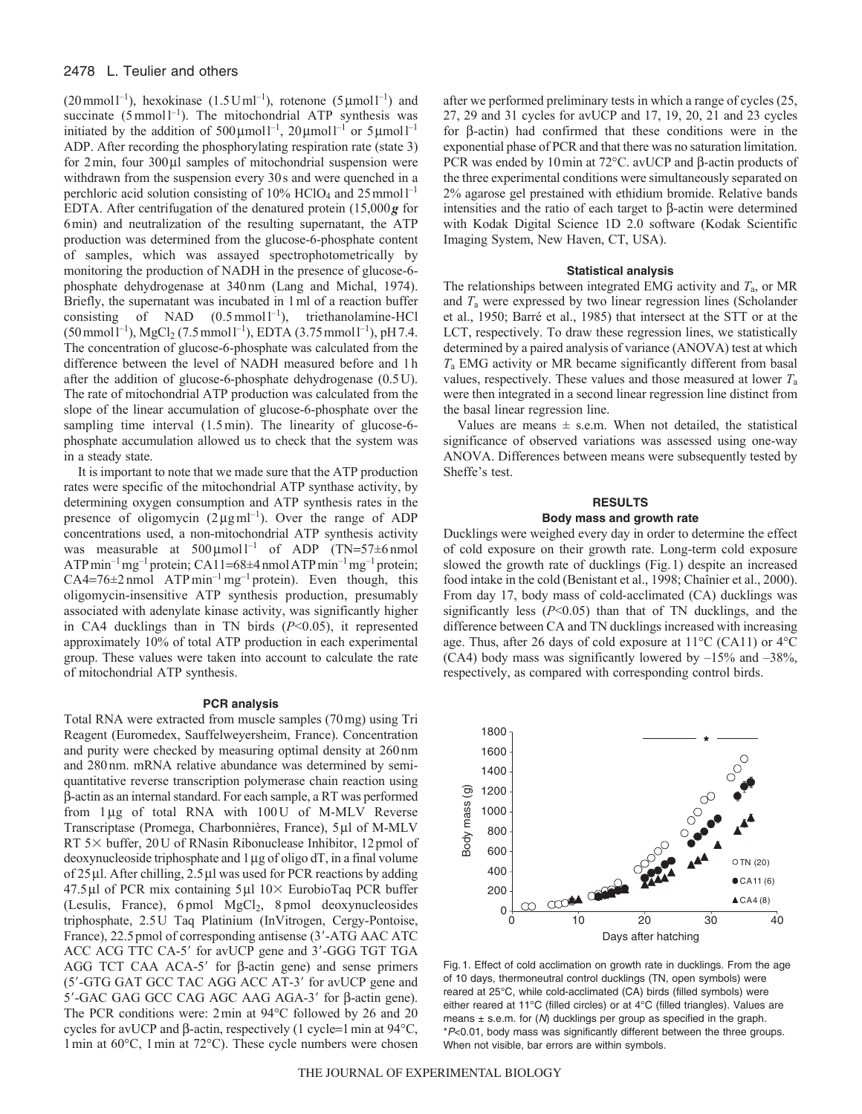# 2478 L. Teulier and others

 $(20 \text{ mmol } l^{-1})$ , hexokinase  $(1.5 \text{ U } ml^{-1})$ , rotenone  $(5 \mu \text{mol } l^{-1})$  and succinate  $(5 \text{ mmol } l^{-1})$ . The mitochondrial ATP synthesis was initiated by the addition of  $500 \mu \text{mol}^{-1}$ ,  $20 \mu \text{mol}^{-1}$  or  $5 \mu \text{mol}^{-1}$ ADP. After recording the phosphorylating respiration rate (state 3) for  $2 \text{min}$ , four  $300 \mu l$  samples of mitochondrial suspension were withdrawn from the suspension every 30s and were quenched in a perchloric acid solution consisting of 10% HClO<sub>4</sub> and 25 mmol<sup>1-1</sup> EDTA. After centrifugation of the denatured protein (15,000*g* for 6min) and neutralization of the resulting supernatant, the ATP production was determined from the glucose-6-phosphate content of samples, which was assayed spectrophotometrically by monitoring the production of NADH in the presence of glucose-6 phosphate dehydrogenase at 340nm (Lang and Michal, 1974). Briefly, the supernatant was incubated in 1ml of a reaction buffer consisting of NAD  $(0.5 \text{ mmol l}^{-1})$ , triethanolamine-HCl  $(50 \text{ mmol } l^{-1})$ , MgCl<sub>2</sub> (7.5 mmoll<sup>-1</sup>), EDTA (3.75 mmoll<sup>-1</sup>), pH 7.4. The concentration of glucose-6-phosphate was calculated from the difference between the level of NADH measured before and 1h after the addition of glucose-6-phosphate dehydrogenase (0.5U). The rate of mitochondrial ATP production was calculated from the slope of the linear accumulation of glucose-6-phosphate over the sampling time interval  $(1.5 \text{ min})$ . The linearity of glucose-6phosphate accumulation allowed us to check that the system was in a steady state.

It is important to note that we made sure that the ATP production rates were specific of the mitochondrial ATP synthase activity, by determining oxygen consumption and ATP synthesis rates in the presence of oligomycin  $(2 \mu g \text{ ml}^{-1})$ . Over the range of ADP concentrations used, a non-mitochondrial ATP synthesis activity was measurable at  $500 \mu \text{mol}^{-1}$  of ADP (TN=57 $\pm$ 6 nmol ATP min<sup>-1</sup> mg<sup>-1</sup> protein; CA11=68±4 nmol ATP min<sup>-1</sup> mg<sup>-1</sup> protein;  $CA4=76\pm2$  nmol  $ATPmin^{-1}mg^{-1}$  protein). Even though, this oligomycin-insensitive ATP synthesis production, presumably associated with adenylate kinase activity, was significantly higher in CA4 ducklings than in TN birds (*P*<0.05), it represented approximately 10% of total ATP production in each experimental group. These values were taken into account to calculate the rate of mitochondrial ATP synthesis.

#### **PCR analysis**

Total RNA were extracted from muscle samples (70mg) using Tri Reagent (Euromedex, Sauffelweyersheim, France). Concentration and purity were checked by measuring optimal density at 260nm and 280nm. mRNA relative abundance was determined by semiquantitative reverse transcription polymerase chain reaction using  $\beta$ -actin as an internal standard. For each sample, a RT was performed from  $1\mu$ g of total RNA with  $100U$  of M-MLV Reverse Transcriptase (Promega, Charbonnières, France), 5µl of M-MLV RT 5 $\times$  buffer, 20U of RNasin Ribonuclease Inhibitor, 12pmol of deoxynucleoside triphosphate and  $1 \mu$ g of oligo dT, in a final volume of  $25 \mu$ l. After chilling,  $2.5 \mu$ l was used for PCR reactions by adding 47.5 $\mu$ l of PCR mix containing 5 $\mu$ l 10 $\times$  EurobioTaq PCR buffer (Lesulis, France), 6 pmol MgCl<sub>2</sub>, 8 pmol deoxynucleosides triphosphate, 2.5U Taq Platinium (InVitrogen, Cergy-Pontoise, France), 22.5 pmol of corresponding antisense (3'-ATG AAC ATC ACC ACG TTC CA-5' for avUCP gene and 3'-GGG TGT TGA AGG TCT CAA ACA-5' for  $\beta$ -actin gene) and sense primers (5'-GTG GAT GCC TAC AGG ACC AT-3' for avUCP gene and  $5'$ -GAC GAG GCC CAG AGC AAG AGA-3' for  $\beta$ -actin gene). The PCR conditions were: 2min at 94°C followed by 26 and 20 cycles for avUCP and  $\beta$ -actin, respectively (1 cycle=1 min at 94 $\degree$ C, 1min at 60°C, 1min at 72°C). These cycle numbers were chosen after we performed preliminary tests in which a range of cycles (25, 27, 29 and 31 cycles for avUCP and 17, 19, 20, 21 and 23 cycles for  $\beta$ -actin) had confirmed that these conditions were in the exponential phase of PCR and that there was no saturation limitation. PCR was ended by 10 min at 72 $^{\circ}$ C. avUCP and  $\beta$ -actin products of the three experimental conditions were simultaneously separated on 2% agarose gel prestained with ethidium bromide. Relative bands intensities and the ratio of each target to  $\beta$ -actin were determined with Kodak Digital Science 1D 2.0 software (Kodak Scientific Imaging System, New Haven, CT, USA).

#### **Statistical analysis**

The relationships between integrated EMG activity and *T*a, or MR and *T*<sup>a</sup> were expressed by two linear regression lines (Scholander et al., 1950; Barré et al., 1985) that intersect at the STT or at the LCT, respectively. To draw these regression lines, we statistically determined by a paired analysis of variance (ANOVA) test at which *T*<sup>a</sup> EMG activity or MR became significantly different from basal values, respectively. These values and those measured at lower *T*<sup>a</sup> were then integrated in a second linear regression line distinct from the basal linear regression line.

Values are means  $\pm$  s.e.m. When not detailed, the statistical significance of observed variations was assessed using one-way ANOVA. Differences between means were subsequently tested by Sheffe's test.

### **RESULTS Body mass and growth rate**

Ducklings were weighed every day in order to determine the effect of cold exposure on their growth rate. Long-term cold exposure slowed the growth rate of ducklings (Fig.1) despite an increased food intake in the cold (Benistant et al., 1998; Chaînier et al., 2000). From day 17, body mass of cold-acclimated (CA) ducklings was significantly less  $(P<0.05)$  than that of TN ducklings, and the difference between CA and TN ducklings increased with increasing age. Thus, after 26 days of cold exposure at 11°C (CA11) or 4°C (CA4) body mass was significantly lowered by  $-15\%$  and  $-38\%$ , respectively, as compared with corresponding control birds.



Fig. 1. Effect of cold acclimation on growth rate in ducklings. From the age of 10 days, thermoneutral control ducklings (TN, open symbols) were reared at 25°C, while cold-acclimated (CA) birds (filled symbols) were either reared at 11°C (filled circles) or at 4°C (filled triangles). Values are means  $\pm$  s.e.m. for (N) ducklings per group as specified in the graph. \*P<0.01, body mass was significantly different between the three groups. When not visible, bar errors are within symbols.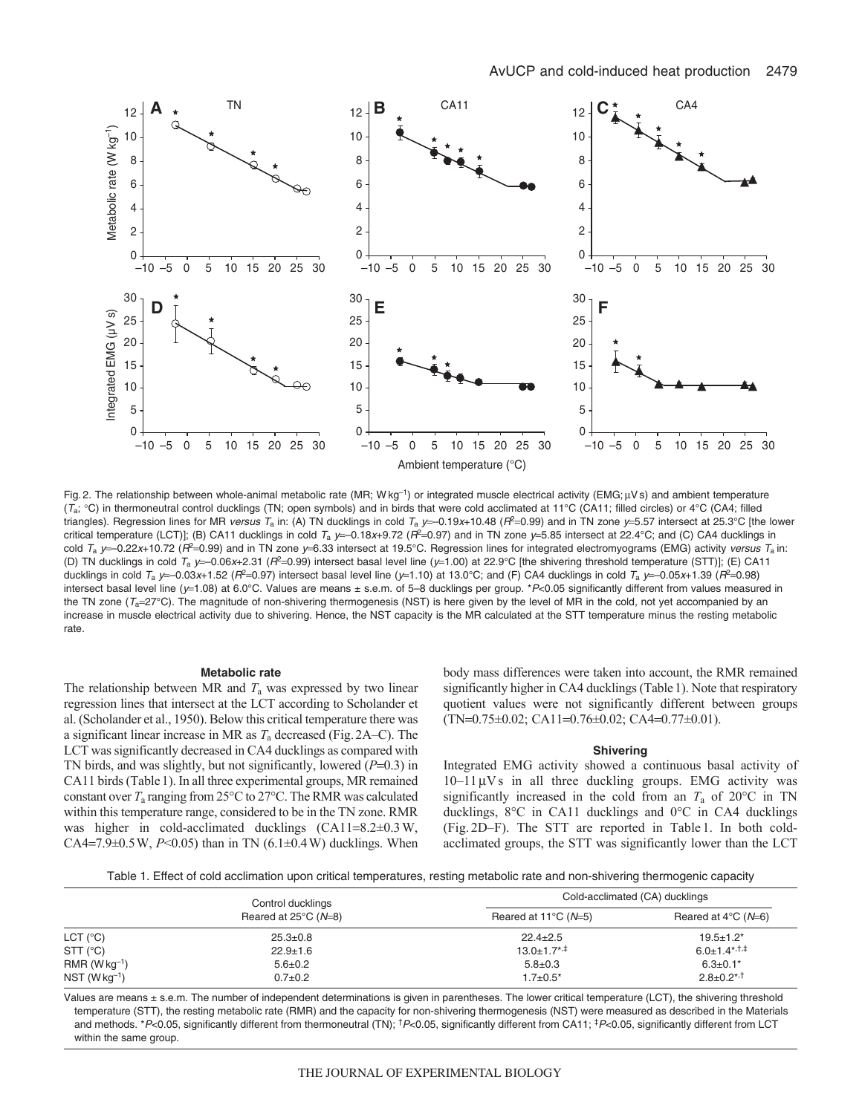

Fig. 2. The relationship between whole-animal metabolic rate (MR; Wkg<sup>-1</sup>) or integrated muscle electrical activity (EMG;  $\mu$ Vs) and ambient temperature  $(T_a; {}^{\circ}C)$  in thermoneutral control ducklings (TN; open symbols) and in birds that were cold acclimated at 11 ${}^{\circ}C$  (CA11; filled circles) or 4<sup>o</sup>C (CA4; filled triangles). Regression lines for MR versus T<sub>a</sub> in: (A) TN ducklings in cold T<sub>a</sub> y=-0.19x+10.48 (R<sup>2</sup>=0.99) and in TN zone y=5.57 intersect at 25.3°C [the lower critical temperature (LCT)]; (B) CA11 ducklings in cold  $T_a$  y=-0.18x+9.72 ( $R^2$ =0.97) and in TN zone y=5.85 intersect at 22.4°C; and (C) CA4 ducklings in cold  $T_a$  y=-0.22x+10.72 ( $R^2$ =0.99) and in TN zone y=6.33 intersect at 19.5°C. Regression lines for integrated electromyograms (EMG) activity versus  $T_a$  in: (D) TN ducklings in cold  $T_a$  y=-0.06x+2.31 ( $R^2$ =0.99) intersect basal level line (y=1.00) at 22.9°C [the shivering threshold temperature (STT)]; (E) CA11 ducklings in cold  $T_a$  y=-0.03x+1.52 ( $R^2$ =0.97) intersect basal level line (y=1.10) at 13.0°C; and (F) CA4 ducklings in cold  $T_a$  y=-0.05x+1.39 ( $R^2$ =0.98) intersect basal level line (y=1.08) at 6.0°C. Values are means ± s.e.m. of 5–8 ducklings per group. \*P<0.05 significantly different from values measured in the TN zone  $(T_a=27^{\circ}C)$ . The magnitude of non-shivering thermogenesis (NST) is here given by the level of MR in the cold, not yet accompanied by an increase in muscle electrical activity due to shivering. Hence, the NST capacity is the MR calculated at the STT temperature minus the resting metabolic rate.

## **Metabolic rate**

The relationship between MR and  $T_a$  was expressed by two linear regression lines that intersect at the LCT according to Scholander et al. (Scholander et al., 1950). Below this critical temperature there was a significant linear increase in MR as *T*<sup>a</sup> decreased (Fig.2A–C). The LCT was significantly decreased in CA4 ducklings as compared with TN birds, and was slightly, but not significantly, lowered  $(P=0.3)$  in CA11 birds (Table1). In all three experimental groups, MR remained constant over *T*<sup>a</sup> ranging from 25°C to 27°C. The RMR was calculated within this temperature range, considered to be in the TN zone. RMR was higher in cold-acclimated ducklings  $(CA11=8.2\pm0.3 W,$ CA4=7.9 $\pm$ 0.5 W, *P*<0.05) than in TN (6.1 $\pm$ 0.4 W) ducklings. When body mass differences were taken into account, the RMR remained significantly higher in CA4 ducklings (Table1). Note that respiratory quotient values were not significantly different between groups  $(TN=0.75\pm0.02; CA11=0.76\pm0.02; CA4=0.77\pm0.01).$ 

#### **Shivering**

Integrated EMG activity showed a continuous basal activity of  $10-11 \,\mu\mathrm{Vs}$  in all three duckling groups. EMG activity was significantly increased in the cold from an  $T_a$  of 20 $\degree$ C in TN ducklings, 8°C in CA11 ducklings and 0°C in CA4 ducklings (Fig. 2D–F). The STT are reported in Table 1. In both coldacclimated groups, the STT was significantly lower than the LCT

Table 1. Effect of cold acclimation upon critical temperatures, resting metabolic rate and non-shivering thermogenic capacity

|                       | Control ducklings<br>Reared at $25^{\circ}$ C ( $N=8$ ) | Cold-acclimated (CA) ducklings |                                   |
|-----------------------|---------------------------------------------------------|--------------------------------|-----------------------------------|
|                       |                                                         | Reared at 11 $\degree$ C (N=5) | Reared at $4^{\circ}$ C ( $N=6$ ) |
| $LCT$ ( $^{\circ}$ C) | $25.3 \pm 0.8$                                          | $22.4 \pm 2.5$                 | $19.5 \pm 1.2^*$                  |
| $STT$ ( $^{\circ}$ C) | $22.9 \pm 1.6$                                          | $13.0 \pm 1.7$ <sup>*,‡</sup>  | $6.0 \pm 1.4$ <sup>*,†,‡</sup>    |
| $RMR (Wkg-1)$         | $5.6 \pm 0.2$                                           | $5.8 \pm 0.3$                  | $6.3 \pm 0.1*$                    |
| $NST (W kq-1)$        | $0.7 + 0.2$                                             | $1.7 \pm 0.5^*$                | $2.8 \pm 0.2$ <sup>*,†</sup>      |

Values are means ± s.e.m. The number of independent determinations is given in parentheses. The lower critical temperature (LCT), the shivering threshold temperature (STT), the resting metabolic rate (RMR) and the capacity for non-shivering thermogenesis (NST) were measured as described in the Materials and methods. \*P<0.05, significantly different from thermoneutral (TN); <sup>†</sup>P<0.05, significantly different from CA11; <sup>‡</sup>P<0.05, significantly different from LCT within the same group.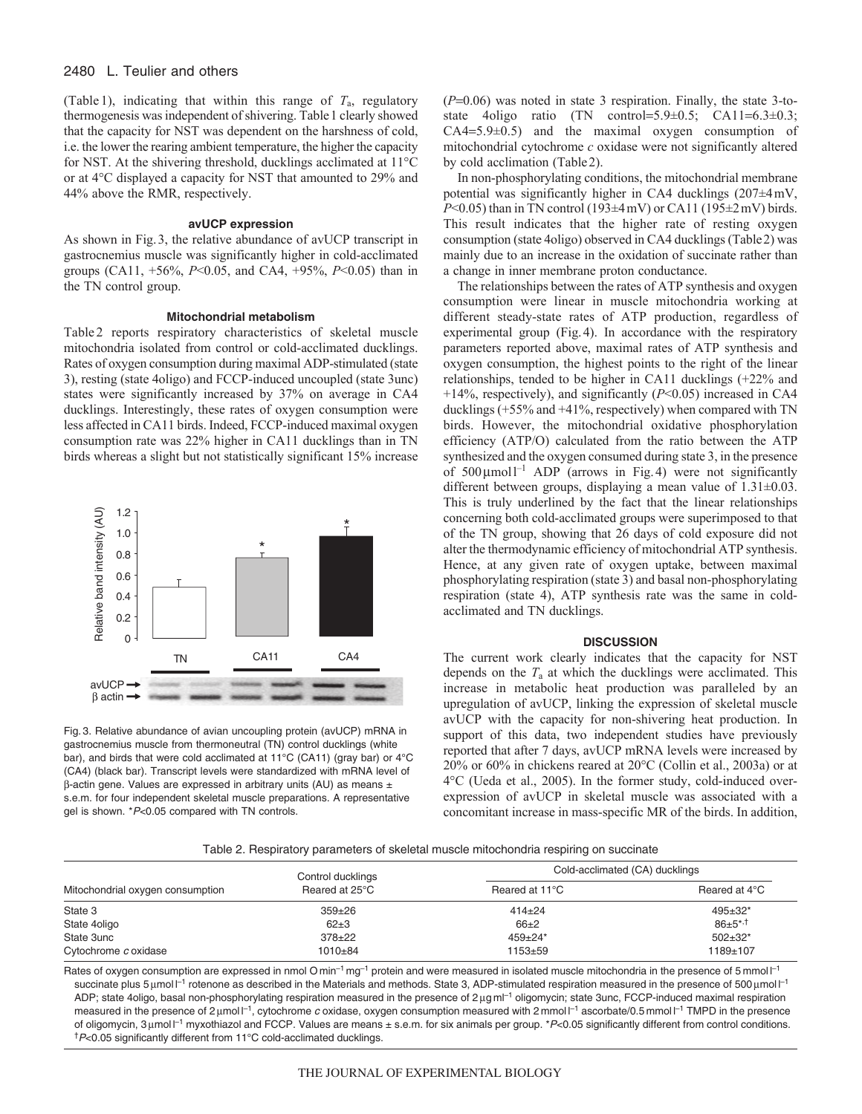# 2480 L. Teulier and others

(Table 1), indicating that within this range of *T*a, regulatory thermogenesis was independent of shivering. Table1 clearly showed that the capacity for NST was dependent on the harshness of cold, i.e. the lower the rearing ambient temperature, the higher the capacity for NST. At the shivering threshold, ducklings acclimated at 11°C or at 4°C displayed a capacity for NST that amounted to 29% and 44% above the RMR, respectively.

# **avUCP expression**

As shown in Fig.3, the relative abundance of avUCP transcript in gastrocnemius muscle was significantly higher in cold-acclimated groups (CA11, +56%, *P*<0.05, and CA4, +95%, *P*<0.05) than in the TN control group.

#### **Mitochondrial metabolism**

Table 2 reports respiratory characteristics of skeletal muscle mitochondria isolated from control or cold-acclimated ducklings. Rates of oxygen consumption during maximal ADP-stimulated (state 3), resting (state 4oligo) and FCCP-induced uncoupled (state 3unc) states were significantly increased by 37% on average in CA4 ducklings. Interestingly, these rates of oxygen consumption were less affected in CA11 birds. Indeed, FCCP-induced maximal oxygen consumption rate was 22% higher in CA11 ducklings than in TN birds whereas a slight but not statistically significant 15% increase



Fig. 3. Relative abundance of avian uncoupling protein (avUCP) mRNA in gastrocnemius muscle from thermoneutral (TN) control ducklings (white bar), and birds that were cold acclimated at 11°C (CA11) (gray bar) or 4°C (CA4) (black bar). Transcript levels were standardized with mRNA level of  $\beta$ -actin gene. Values are expressed in arbitrary units (AU) as means  $\pm$ s.e.m. for four independent skeletal muscle preparations. A representative gel is shown. \*P<0.05 compared with TN controls.

 $(P=0.06)$  was noted in state 3 respiration. Finally, the state 3-tostate 4oligo ratio (TN control= $5.9\pm0.5$ ; CA11= $6.3\pm0.3$ ;  $CA4=5.9\pm0.5$  and the maximal oxygen consumption of mitochondrial cytochrome *c* oxidase were not significantly altered by cold acclimation (Table2).

In non-phosphorylating conditions, the mitochondrial membrane potential was significantly higher in CA4 ducklings (207±4mV, *P*<0.05) than in TN control (193±4mV) or CA11 (195±2mV) birds. This result indicates that the higher rate of resting oxygen consumption (state 4oligo) observed in CA4 ducklings (Table2) was mainly due to an increase in the oxidation of succinate rather than a change in inner membrane proton conductance.

The relationships between the rates of ATP synthesis and oxygen consumption were linear in muscle mitochondria working at different steady-state rates of ATP production, regardless of experimental group (Fig.4). In accordance with the respiratory parameters reported above, maximal rates of ATP synthesis and oxygen consumption, the highest points to the right of the linear relationships, tended to be higher in CA11 ducklings (+22% and +14%, respectively), and significantly (*P*<0.05) increased in CA4 ducklings (+55% and +41%, respectively) when compared with TN birds. However, the mitochondrial oxidative phosphorylation efficiency (ATP/O) calculated from the ratio between the ATP synthesized and the oxygen consumed during state 3, in the presence of  $500 \mu \text{mol}^{-1}$  ADP (arrows in Fig. 4) were not significantly different between groups, displaying a mean value of  $1.31 \pm 0.03$ . This is truly underlined by the fact that the linear relationships concerning both cold-acclimated groups were superimposed to that of the TN group, showing that 26 days of cold exposure did not alter the thermodynamic efficiency of mitochondrial ATP synthesis. Hence, at any given rate of oxygen uptake, between maximal phosphorylating respiration (state 3) and basal non-phosphorylating respiration (state 4), ATP synthesis rate was the same in coldacclimated and TN ducklings.

#### **DISCUSSION**

The current work clearly indicates that the capacity for NST depends on the  $T_a$  at which the ducklings were acclimated. This increase in metabolic heat production was paralleled by an upregulation of avUCP, linking the expression of skeletal muscle avUCP with the capacity for non-shivering heat production. In support of this data, two independent studies have previously reported that after 7 days, avUCP mRNA levels were increased by 20% or 60% in chickens reared at 20°C (Collin et al., 2003a) or at 4°C (Ueda et al., 2005). In the former study, cold-induced overexpression of avUCP in skeletal muscle was associated with a concomitant increase in mass-specific MR of the birds. In addition,

Table 2. Respiratory parameters of skeletal muscle mitochondria respiring on succinate

|                                  | Control ducklings | Cold-acclimated (CA) ducklings |                  |
|----------------------------------|-------------------|--------------------------------|------------------|
| Mitochondrial oxygen consumption | Reared at 25°C    | Reared at 11°C                 | Reared at 4°C    |
| State 3                          | $359 \pm 26$      | $414 + 24$                     | $495 \pm 32^*$   |
| State 4oligo                     | $62+3$            | $66+2$                         | $86 \pm 5^{*,+}$ |
| State 3unc                       | $378 + 22$        | $459 \pm 24$ *                 | $502 \pm 32^*$   |
| Cytochrome c oxidase             | 1010±84           | $1153 + 59$                    | 1189±107         |

Rates of oxygen consumption are expressed in nmol O min<sup>-1</sup> mg<sup>-1</sup> protein and were measured in isolated muscle mitochondria in the presence of 5 mmol l<sup>-1</sup> succinate plus 5  $\mu$ mol  $l^{-1}$  rotenone as described in the Materials and methods. State 3, ADP-stimulated respiration measured in the presence of 500  $\mu$ mol  $l^{-1}$ ADP; state 4oligo, basal non-phosphorylating respiration measured in the presence of 2 µg ml<sup>-1</sup> oligomycin; state 3unc, FCCP-induced maximal respiration measured in the presence of 2 µmol  $\vert$ <sup>-1</sup>, cytochrome c oxidase, oxygen consumption measured with 2 mmol  $\vert$ <sup>-1</sup> ascorbate/0.5 mmol  $\vert$ <sup>-1</sup> TMPD in the presence of oligomycin, 3 µmol I<sup>-1</sup> myxothiazol and FCCP. Values are means ± s.e.m. for six animals per group. \*P<0.05 significantly different from control conditions. †P<0.05 significantly different from 11°C cold-acclimated ducklings.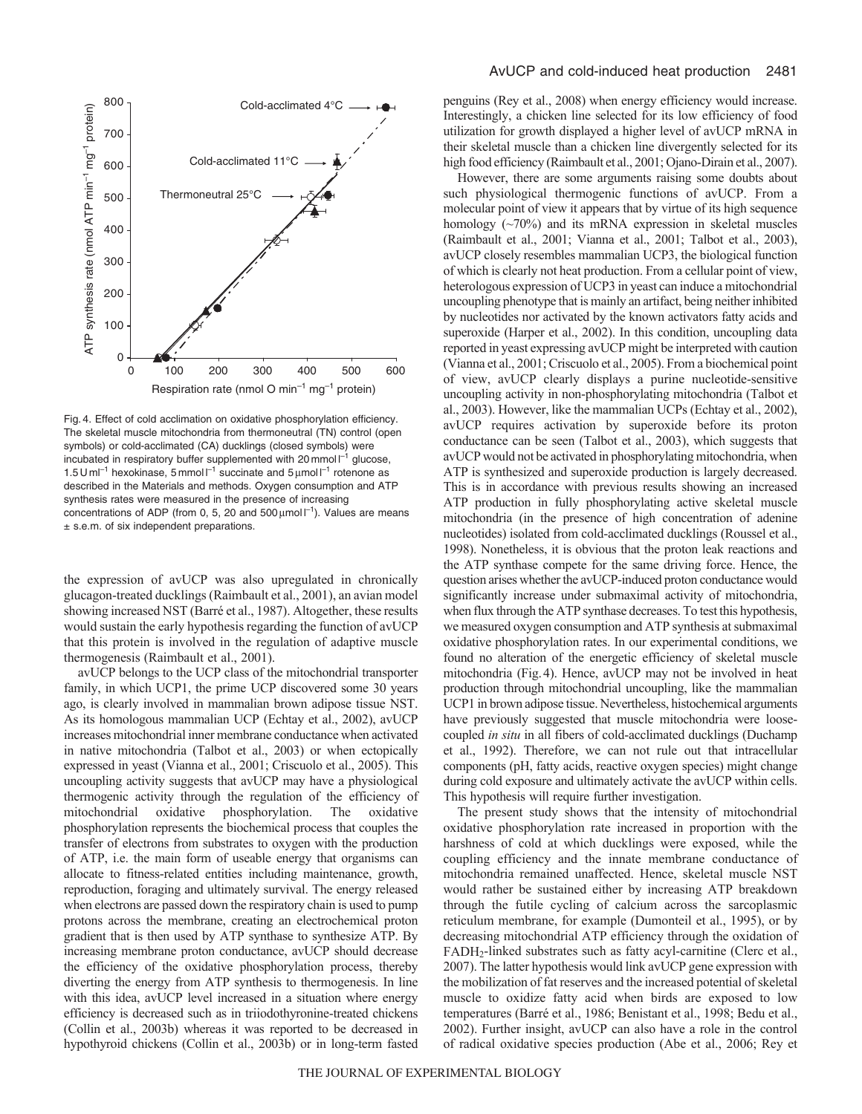

Fig. 4. Effect of cold acclimation on oxidative phosphorylation efficiency. The skeletal muscle mitochondria from thermoneutral (TN) control (open symbols) or cold-acclimated (CA) ducklings (closed symbols) were incubated in respiratory buffer supplemented with 20 mmol  $I^{-1}$  glucose, 1.5 U m $I^{-1}$  hexokinase, 5 mmol  $I^{-1}$  succinate and 5  $\mu$ mol  $I^{-1}$  rotenone as described in the Materials and methods. Oxygen consumption and ATP synthesis rates were measured in the presence of increasing concentrations of ADP (from 0, 5, 20 and  $500 \mu$ mol  $l^{-1}$ ). Values are means ± s.e.m. of six independent preparations.

the expression of avUCP was also upregulated in chronically glucagon-treated ducklings (Raimbault et al., 2001), an avian model showing increased NST (Barré et al., 1987). Altogether, these results would sustain the early hypothesis regarding the function of avUCP that this protein is involved in the regulation of adaptive muscle thermogenesis (Raimbault et al., 2001).

avUCP belongs to the UCP class of the mitochondrial transporter family, in which UCP1, the prime UCP discovered some 30 years ago, is clearly involved in mammalian brown adipose tissue NST. As its homologous mammalian UCP (Echtay et al., 2002), avUCP increases mitochondrial inner membrane conductance when activated in native mitochondria (Talbot et al., 2003) or when ectopically expressed in yeast (Vianna et al., 2001; Criscuolo et al., 2005). This uncoupling activity suggests that avUCP may have a physiological thermogenic activity through the regulation of the efficiency of mitochondrial oxidative phosphorylation. The oxidative phosphorylation represents the biochemical process that couples the transfer of electrons from substrates to oxygen with the production of ATP, i.e. the main form of useable energy that organisms can allocate to fitness-related entities including maintenance, growth, reproduction, foraging and ultimately survival. The energy released when electrons are passed down the respiratory chain is used to pump protons across the membrane, creating an electrochemical proton gradient that is then used by ATP synthase to synthesize ATP. By increasing membrane proton conductance, avUCP should decrease the efficiency of the oxidative phosphorylation process, thereby diverting the energy from ATP synthesis to thermogenesis. In line with this idea, avUCP level increased in a situation where energy efficiency is decreased such as in triiodothyronine-treated chickens (Collin et al., 2003b) whereas it was reported to be decreased in hypothyroid chickens (Collin et al., 2003b) or in long-term fasted penguins (Rey et al., 2008) when energy efficiency would increase. Interestingly, a chicken line selected for its low efficiency of food utilization for growth displayed a higher level of avUCP mRNA in their skeletal muscle than a chicken line divergently selected for its high food efficiency (Raimbault et al., 2001; Ojano-Dirain et al., 2007).

However, there are some arguments raising some doubts about such physiological thermogenic functions of avUCP. From a molecular point of view it appears that by virtue of its high sequence homology (~70%) and its mRNA expression in skeletal muscles (Raimbault et al., 2001; Vianna et al., 2001; Talbot et al., 2003), avUCP closely resembles mammalian UCP3, the biological function of which is clearly not heat production. From a cellular point of view, heterologous expression of UCP3 in yeast can induce a mitochondrial uncoupling phenotype that is mainly an artifact, being neither inhibited by nucleotides nor activated by the known activators fatty acids and superoxide (Harper et al., 2002). In this condition, uncoupling data reported in yeast expressing avUCP might be interpreted with caution (Vianna et al., 2001; Criscuolo et al., 2005). From a biochemical point of view, avUCP clearly displays a purine nucleotide-sensitive uncoupling activity in non-phosphorylating mitochondria (Talbot et al., 2003). However, like the mammalian UCPs (Echtay et al., 2002), avUCP requires activation by superoxide before its proton conductance can be seen (Talbot et al., 2003), which suggests that avUCP would not be activated in phosphorylating mitochondria, when ATP is synthesized and superoxide production is largely decreased. This is in accordance with previous results showing an increased ATP production in fully phosphorylating active skeletal muscle mitochondria (in the presence of high concentration of adenine nucleotides) isolated from cold-acclimated ducklings (Roussel et al., 1998). Nonetheless, it is obvious that the proton leak reactions and the ATP synthase compete for the same driving force. Hence, the question arises whether the avUCP-induced proton conductance would significantly increase under submaximal activity of mitochondria, when flux through the ATP synthase decreases. To test this hypothesis, we measured oxygen consumption and ATP synthesis at submaximal oxidative phosphorylation rates. In our experimental conditions, we found no alteration of the energetic efficiency of skeletal muscle mitochondria (Fig.4). Hence, avUCP may not be involved in heat production through mitochondrial uncoupling, like the mammalian UCP1 in brown adipose tissue. Nevertheless, histochemical arguments have previously suggested that muscle mitochondria were loosecoupled *in situ* in all fibers of cold-acclimated ducklings (Duchamp et al., 1992). Therefore, we can not rule out that intracellular components (pH, fatty acids, reactive oxygen species) might change during cold exposure and ultimately activate the avUCP within cells. This hypothesis will require further investigation.

The present study shows that the intensity of mitochondrial oxidative phosphorylation rate increased in proportion with the harshness of cold at which ducklings were exposed, while the coupling efficiency and the innate membrane conductance of mitochondria remained unaffected. Hence, skeletal muscle NST would rather be sustained either by increasing ATP breakdown through the futile cycling of calcium across the sarcoplasmic reticulum membrane, for example (Dumonteil et al., 1995), or by decreasing mitochondrial ATP efficiency through the oxidation of FADH2-linked substrates such as fatty acyl-carnitine (Clerc et al., 2007). The latter hypothesis would link avUCP gene expression with the mobilization of fat reserves and the increased potential of skeletal muscle to oxidize fatty acid when birds are exposed to low temperatures (Barré et al., 1986; Benistant et al., 1998; Bedu et al., 2002). Further insight, avUCP can also have a role in the control of radical oxidative species production (Abe et al., 2006; Rey et